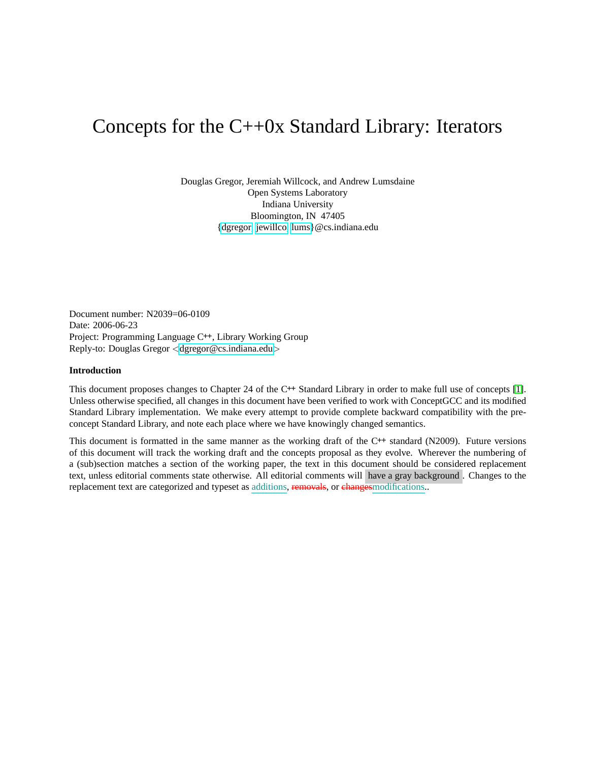# Concepts for the C++0x Standard Library: Iterators

Douglas Gregor, Jeremiah Willcock, and Andrew Lumsdaine Open Systems Laboratory Indiana University Bloomington, IN 47405 [{dgregor,](mailto:dgregor@cs.indiana.edu) [jewillco,](mailto:jewillco@cs.indiana.edu) [lums}](mailto:lums@cs.indiana.edu)@cs.indiana.edu

Document number: N2039=06-0109 Date: 2006-06-23 Project: Programming Language C**++**, Library Working Group Reply-to: Douglas Gregor <[dgregor@cs.indiana.edu](mailto:dgregor@cs.indiana.edu)>

# **Introduction**

This document proposes changes to Chapter 24 of the C**++** Standard Library in order to make full use of concepts [\[1\]](#page-14-0). Unless otherwise specified, all changes in this document have been verified to work with ConceptGCC and its modified Standard Library implementation. We make every attempt to provide complete backward compatibility with the preconcept Standard Library, and note each place where we have knowingly changed semantics.

This document is formatted in the same manner as the working draft of the C**++** standard (N2009). Future versions of this document will track the working draft and the concepts proposal as they evolve. Wherever the numbering of a (sub)section matches a section of the working paper, the text in this document should be considered replacement text, unless editorial comments state otherwise. All editorial comments will have a gray background . Changes to the replacement text are categorized and typeset as additions, removals, or changes modifications..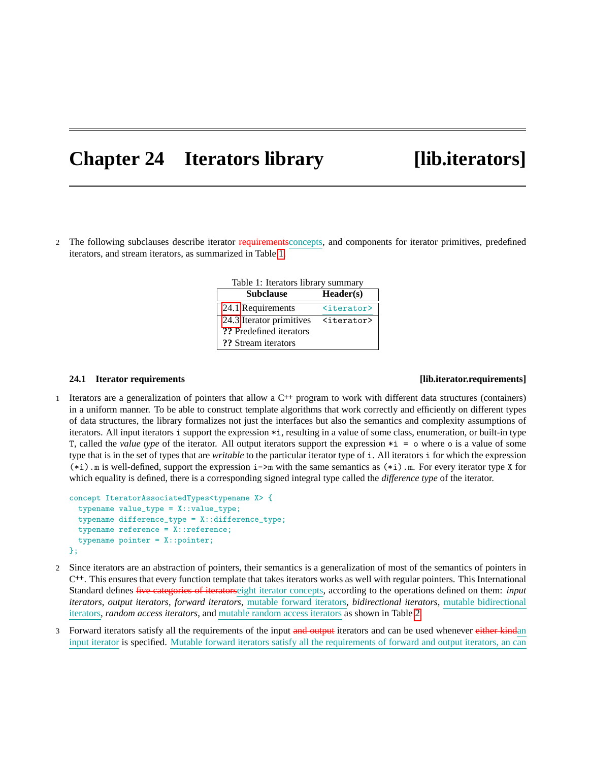# **Chapter 24 Iterators library [lib.iterators]**

2 The following subclauses describe iterator requirementsconcepts, and components for iterator primitives, predefined iterators, and stream iterators, as summarized in Table [1.](#page-1-0)

| Table 1. Refators horary summary |                       |  |
|----------------------------------|-----------------------|--|
| <b>Subclause</b>                 | Header(s)             |  |
| 24.1 Requirements                | <iterator></iterator> |  |
| 24.3 Iterator primitives         | <iterator></iterator> |  |
| ?? Predefined iterators          |                       |  |
| ?? Stream iterators              |                       |  |

<span id="page-1-0"></span>Table 1: Iterators library summary

# <span id="page-1-1"></span>**24.1 Iterator requirements [lib.iterator.requirements]**

1 Iterators are a generalization of pointers that allow a C**++** program to work with different data structures (containers) in a uniform manner. To be able to construct template algorithms that work correctly and efficiently on different types of data structures, the library formalizes not just the interfaces but also the semantics and complexity assumptions of iterators. All input iterators i support the expression \*i, resulting in a value of some class, enumeration, or built-in type T, called the *value type* of the iterator. All output iterators support the expression  $*$  =  $\circ$  where  $\circ$  is a value of some type that is in the set of types that are *writable* to the particular iterator type of i. All iterators i for which the expression  $(*i)$ .m is well-defined, support the expression  $i$ ->m with the same semantics as  $(*i)$ .m. For every iterator type X for which equality is defined, there is a corresponding signed integral type called the *difference type* of the iterator.

```
concept IteratorAssociatedTypes<typename X> {
  typename value_type = X::value_type;
  typename difference_type = X::difference_type;
  typename reference = X::reference;
  typename pointer = X::pointer;
};
```
- 2 Since iterators are an abstraction of pointers, their semantics is a generalization of most of the semantics of pointers in C**++**. This ensures that every function template that takes iterators works as well with regular pointers. This International Standard defines five categories of iteratorseight iterator concepts, according to the operations defined on them: *input iterators*, *output iterators*, *forward iterators*, mutable forward iterators, *bidirectional iterators*, mutable bidirectional iterators, *random access iterators*, and mutable random access iterators as shown in Table [2.](#page-2-0)
- 3 Forward iterators satisfy all the requirements of the input and output iterators and can be used whenever either kindan input iterator is specified. Mutable forward iterators satisfy all the requirements of forward and output iterators, an can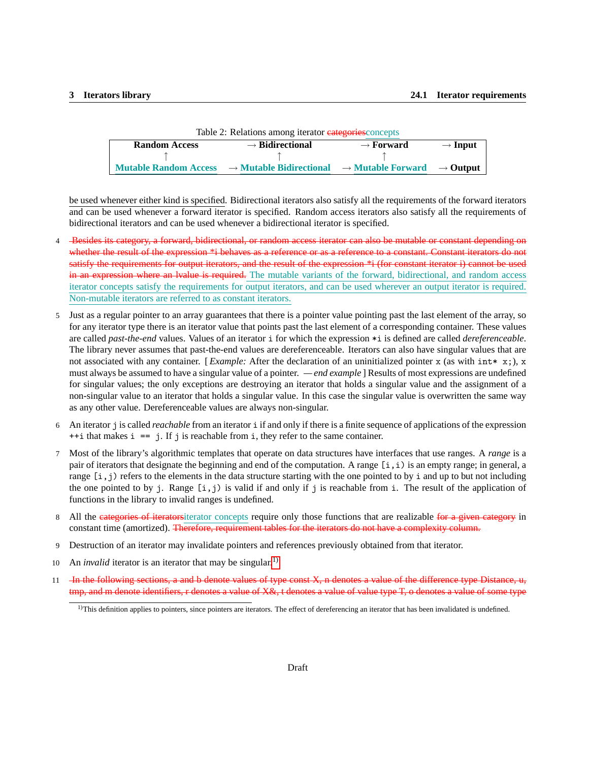<span id="page-2-0"></span>

| Table 2: Relations among iterator examples encodered Table 2: |                                                                                        |                       |                     |  |
|---------------------------------------------------------------|----------------------------------------------------------------------------------------|-----------------------|---------------------|--|
| <b>Random Access</b>                                          | $\rightarrow$ Bidirectional                                                            | $\rightarrow$ Forward | $\rightarrow$ Input |  |
|                                                               |                                                                                        |                       |                     |  |
| <b>Mutable Random Access</b>                                  | $\rightarrow$ Mutable Bidirectional $\rightarrow$ Mutable Forward $\rightarrow$ Output |                       |                     |  |

be used whenever either kind is specified. Bidirectional iterators also satisfy all the requirements of the forward iterators and can be used whenever a forward iterator is specified. Random access iterators also satisfy all the requirements of bidirectional iterators and can be used whenever a bidirectional iterator is specified.

- 4 Besides its category, a forward, bidirectional, or random access iterator can also be mutable or constant depending on whether the result of the expression \*i behaves as a reference or as a reference to a constant. Constant iterators do not satisfy the requirements for output iterators, and the result of the expression \*i (for constant iterator i) cannot be used in an expression where an Ivalue is required. The mutable variants of the forward, bidirectional, and random access iterator concepts satisfy the requirements for output iterators, and can be used wherever an output iterator is required. Non-mutable iterators are referred to as constant iterators.
- 5 Just as a regular pointer to an array guarantees that there is a pointer value pointing past the last element of the array, so for any iterator type there is an iterator value that points past the last element of a corresponding container. These values are called *past-the-end* values. Values of an iterator i for which the expression \*i is defined are called *dereferenceable*. The library never assumes that past-the-end values are dereferenceable. Iterators can also have singular values that are not associated with any container. [*Example:* After the declaration of an uninitialized pointer x (as with int\* x;), x must always be assumed to have a singular value of a pointer. *— end example* ] Results of most expressions are undefined for singular values; the only exceptions are destroying an iterator that holds a singular value and the assignment of a non-singular value to an iterator that holds a singular value. In this case the singular value is overwritten the same way as any other value. Dereferenceable values are always non-singular.
- 6 An iterator j is called *reachable* from an iterator i if and only if there is a finite sequence of applications of the expression  $++i$  that makes  $i == j$ . If j is reachable from i, they refer to the same container.
- 7 Most of the library's algorithmic templates that operate on data structures have interfaces that use ranges. A *range* is a pair of iterators that designate the beginning and end of the computation. A range  $[i, i)$  is an empty range; in general, a range  $[i, j)$  refers to the elements in the data structure starting with the one pointed to by i and up to but not including the one pointed to by j. Range  $[i, j)$  is valid if and only if j is reachable from i. The result of the application of functions in the library to invalid ranges is undefined.
- 8 All the categories of iteratorsiterator concepts require only those functions that are realizable for a given category in constant time (amortized). <del>Therefore, requirement tables for the iterators do not have a complexity column.</del>
- 9 Destruction of an iterator may invalidate pointers and references previously obtained from that iterator.
- 10 An *invalid* iterator is an iterator that may be singular.<sup>[1\)](#page-2-1)</sup>
- 11 In the following sections, a and b denote values of type const X, n denotes a value of the difference type Distance, u, tmp, and m denote identifiers, r denotes a value of X&, t denotes a value of value type T, o denotes a value of some type

<span id="page-2-1"></span> $<sup>1</sup>$ This definition applies to pointers, since pointers are iterators. The effect of dereferencing an iterator that has been invalidated is undefined.</sup>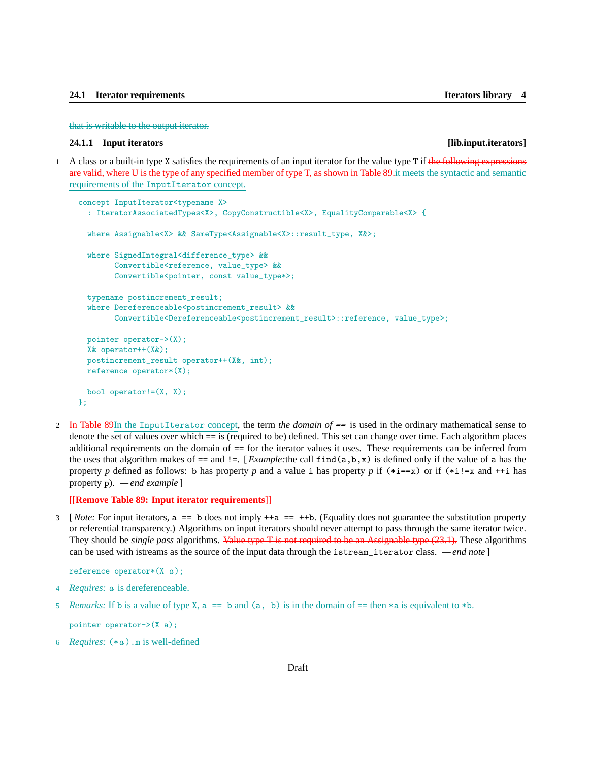that is writable to the output iterator.

## **24.1.1 Input iterators [lib.input.iterators]**

1 A class or a built-in type X satisfies the requirements of an input iterator for the value type T if the following expressions are valid, where U is the type of any specified member of type T, as shown in Table 89-it meets the syntactic and semantic requirements of the InputIterator concept.

```
concept InputIterator<typename X>
  : IteratorAssociatedTypes<X>, CopyConstructible<X>, EqualityComparable<X> {
  where Assignable<X> && SameType<Assignable<X>::result_type, X&>;
  where SignedIntegral<difference_type> &&
        Convertible<reference, value_type> &&
        Convertible<pointer, const value_type*>;
  typename postincrement_result;
  where Dereferenceable<postincrement_result> &&
        Convertible<Dereferenceable<postincrement_result>::reference, value_type>;
  pointer operator->(X);
 X& operator++(X&);
  postincrement_result operator++(X&, int);
 reference operator*(X);
 bool operator!=(X, X);};
```
2 In Table 89In the InputIterator concept, the term *the domain of* == is used in the ordinary mathematical sense to denote the set of values over which == is (required to be) defined. This set can change over time. Each algorithm places additional requirements on the domain of == for the iterator values it uses. These requirements can be inferred from the uses that algorithm makes of  $==$  and  $!=$ . [*Example:*the call  $find(a, b, x)$  is defined only if the value of a has the property *p* defined as follows: b has property *p* and a value i has property *p* if (\*i==x) or if (\*i!=x and ++i has property p). *— end example* ]

[[**Remove Table 89: Input iterator requirements**]]

3 [*Note:* For input iterators, a == b does not imply ++a == ++b. (Equality does not guarantee the substitution property or referential transparency.) Algorithms on input iterators should never attempt to pass through the same iterator twice. They should be *single pass* algorithms. Value type T is not required to be an Assignable type (23.1). These algorithms can be used with istreams as the source of the input data through the istream\_iterator class. *— end note* ]

reference operator\* $(X \ a)$ ;

- 4 *Requires:* a is dereferenceable.
- 5 *Remarks:* If b is a value of type X,  $a == b$  and  $(a, b)$  is in the domain of  $==$  then  $\ast a$  is equivalent to  $\ast b$ .

pointer operator->(X a);

6 *Requires:* (\*a ).m is well-defined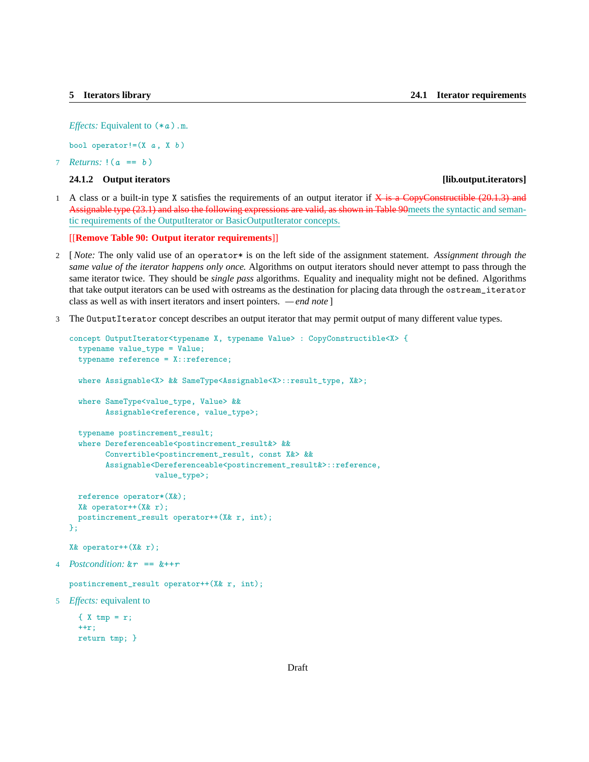```
Effects: Equivalent to (*a).m.
```
bool operator!= $(X \ a, X \ b)$ 

7 *Returns:* !(a == b )

1 A class or a built-in type X satisfies the requirements of an output iterator if  $X$  is a CopyConstructible (20.1.3) and Assignable type (23.1) and also the following expressions are valid, as shown in Table 90 meets the syntactic and semantic requirements of the OutputIterator or BasicOutputIterator concepts.

[[**Remove Table 90: Output iterator requirements**]]

- 2 [*Note:* The only valid use of an operator\* is on the left side of the assignment statement. *Assignment through the same value of the iterator happens only once.* Algorithms on output iterators should never attempt to pass through the same iterator twice. They should be *single pass* algorithms. Equality and inequality might not be defined. Algorithms that take output iterators can be used with ostreams as the destination for placing data through the ostream\_iterator class as well as with insert iterators and insert pointers. *— end note* ]
- 3 The OutputIterator concept describes an output iterator that may permit output of many different value types.

```
concept OutputIterator<typename X, typename Value> : CopyConstructible<X> {
     typename value_type = Value;
     typename reference = X::reference;
     where Assignable<X> && SameType<Assignable<X>::result_type, X&>;
     where SameType<value_type, Value> &&
           Assignable<reference, value_type>;
     typename postincrement_result;
     where Dereferenceable<postincrement_result&> &&
           Convertible<postincrement_result, const X&> &&
           Assignable<Dereferenceable<postincrement_result&>::reference,
                      value_type>;
     reference operator*(X&);
     X& operator++(X& r);
     postincrement_result operator++(X& r, int);
   };
   X& operator++(X& r);
4 Postcondition: &r == &++r
   postincrement_result operator++(X& r, int);
5 Effects: equivalent to
     \{ X \text{tmp} = r \}+<i>r</i>;return tmp; }
```
# **24.1.2 Output iterators [lib.output.iterators]**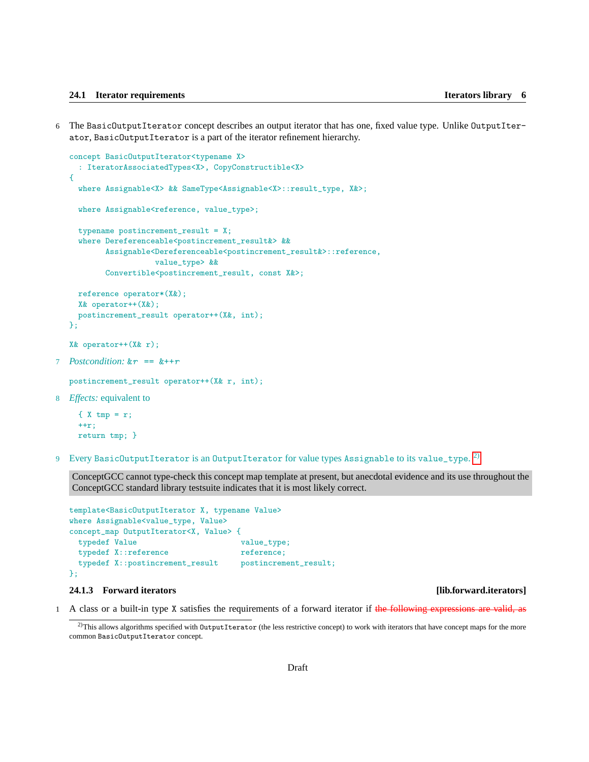6 The BasicOutputIterator concept describes an output iterator that has one, fixed value type. Unlike OutputIterator, BasicOutputIterator is a part of the iterator refinement hierarchy.

```
concept BasicOutputIterator<typename X>
     : IteratorAssociatedTypes<X>, CopyConstructible<X>
   {
     where Assignable<X> && SameType<Assignable<X>::result_type, X&>;
     where Assignable<reference, value_type>;
     typename postincrement_result = X;
     where Dereferenceable<postincrement_result&> &&
           Assignable<Dereferenceable<postincrement_result&>::reference,
                      value_type> &&
           Convertible<postincrement_result, const X&>;
     reference operator*(X&);
     X& operator++(X&);
     postincrement_result operator++(X&, int);
   };
   X& operator++(X& r);
7 Postcondition: &r == &++r
   postincrement_result operator++(X& r, int);
8 Effects: equivalent to
```

```
\{ X \text{tmp} = r \}+<i>r</i>;return tmp; }
```
9 Every BasicOutputIterator is an OutputIterator for value types Assignable to its value\_type.  $^{2)}$  $^{2)}$  $^{2)}$ 

ConceptGCC cannot type-check this concept map template at present, but anecdotal evidence and its use throughout the ConceptGCC standard library testsuite indicates that it is most likely correct.

```
template<BasicOutputIterator X, typename Value>
where Assignable<value_type, Value>
concept_map OutputIterator<X, Value> {
 typedef Value value_type;
 typedef X::reference reference;
 typedef X::postincrement_result postincrement_result;
};
```
# **24.1.3 Forward iterators [lib.forward.iterators]**

1 A class or a built-in type X satisfies the requirements of a forward iterator if the following expressions are valid, as

<span id="page-5-0"></span><sup>&</sup>lt;sup>2)</sup>This allows algorithms specified with OutputIterator (the less restrictive concept) to work with iterators that have concept maps for the more common BasicOutputIterator concept.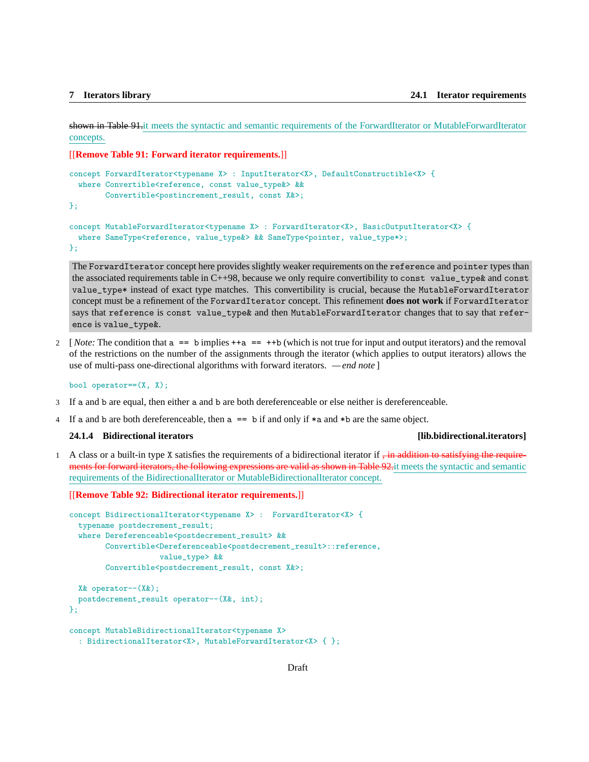shown in Table 91. it meets the syntactic and semantic requirements of the ForwardIterator or MutableForwardIterator concepts.

### [[**Remove Table 91: Forward iterator requirements.**]]

```
concept ForwardIterator<typename X> : InputIterator<X>, DefaultConstructible<X> {
 where Convertible<reference, const value_type&> &&
       Convertible<postincrement_result, const X&>;
};
concept MutableForwardIterator<typename X> : ForwardIterator<X>, BasicOutputIterator<X> {
  where SameType<reference, value_type&> && SameType<pointer, value_type*>;
```
};

The ForwardIterator concept here provides slightly weaker requirements on the reference and pointer types than the associated requirements table in C++98, because we only require convertibility to const value\_type& and const value\_type\* instead of exact type matches. This convertibility is crucial, because the MutableForwardIterator concept must be a refinement of the ForwardIterator concept. This refinement **does not work** if ForwardIterator says that reference is const value\_type& and then MutableForwardIterator changes that to say that reference is value\_type&.

2 [*Note:* The condition that a == b implies ++a == ++b (which is not true for input and output iterators) and the removal of the restrictions on the number of the assignments through the iterator (which applies to output iterators) allows the use of multi-pass one-directional algorithms with forward iterators. *— end note* ]

```
bool operator ==(X, X);
```
- 3 If a and b are equal, then either a and b are both dereferenceable or else neither is dereferenceable.
- 4 If a and b are both dereferenceable, then  $a == b$  if and only if  $*a$  and  $*b$  are the same object.

### **24.1.4 Bidirectional iterators [lib.bidirectional.iterators]**

1 A class or a built-in type X satisfies the requirements of a bidirectional iterator if , in addition to satisfying the requirements for forward iterators, the following expressions are valid as shown in Table 92-it meets the syntactic and semantic requirements of the BidirectionalIterator or MutableBidirectionalIterator concept.

### [[**Remove Table 92: Bidirectional iterator requirements.**]]

```
concept BidirectionalIterator<typename X> : ForwardIterator<X> {
 typename postdecrement_result;
  where Dereferenceable<postdecrement_result> &&
        Convertible<Dereferenceable<postdecrement_result>::reference,
                    value_type> &&
        Convertible<postdecrement_result, const X&>;
 X& operator--(X&);
 postdecrement_result operator--(X&, int);
};
concept MutableBidirectionalIterator<typename X>
  : BidirectionalIterator<X>, MutableForwardIterator<X> { };
```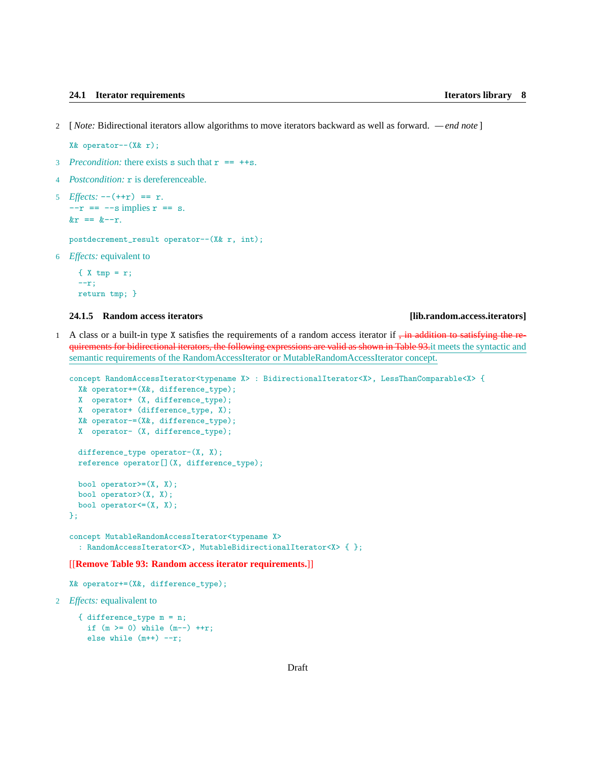2 [*Note:* Bidirectional iterators allow algorithms to move iterators backward as well as forward. *— end note* ]

X& operator--(X& r);

- 3 *Precondition:* there exists s such that r == ++s.
- 4 *Postcondition:* r is dereferenceable.
- 5 *Effects:*  $--(+r) = r$ .  $--r$  ==  $--s$  implies  $r$  == s.  $kr == &--r.$

postdecrement\_result operator--(X& r, int);

6 *Effects:* equivalent to

```
\{ X \text{tmp} = r;--r;return tmp; }
```
### **24.1.5 Random access iterators [lib.random.access.iterators]**

1 A class or a built-in type X satisfies the requirements of a random access iterator if  $\frac{1}{2}$  in addition to satisfying the requirements for bidirectional iterators, the following expressions are valid as shown in Table 93.it meets the syntactic and semantic requirements of the RandomAccessIterator or MutableRandomAccessIterator concept.

```
concept RandomAccessIterator<typename X> : BidirectionalIterator<X>, LessThanComparable<X> {
 X& operator+=(X&, difference_type);
 X operator+ (X, difference_type);
 X operator+ (difference_type, X);
 X& operator-=(X&, difference_type);
  X operator- (X, difference_type);
  difference_type operator-(X, X);
  reference operator[](X, difference_type);
 bool operator>=(X, X);
 bool operator>(X, X);
 bool operator<=(X, X);
\mathcal{H}:
concept MutableRandomAccessIterator<typename X>
```
: RandomAccessIterator<X>, MutableBidirectionalIterator<X> { };

[[**Remove Table 93: Random access iterator requirements.**]]

X& operator+=(X&, difference\_type);

2 *Effects:* equalivalent to

```
{ difference_type m = n;
 if (m \ge 0) while (m--) ++r;
 else while (m++) --r;
```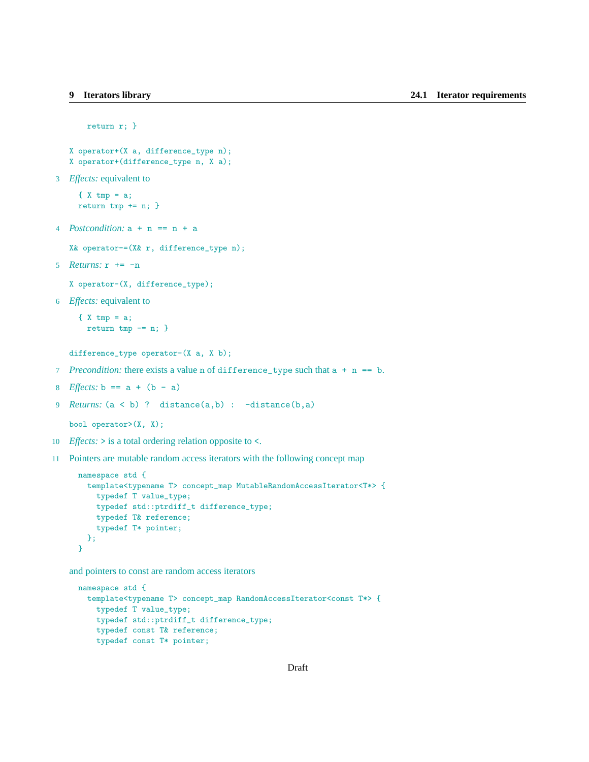```
return r; }
   X operator+(X a, difference_type n);
   X operator+(difference_type n, X a);
3 Effects: equivalent to
     \{ X \text{tmp} = a; \}return tmp += n; }
4 Postcondition: a + n == n + a
   X& operator-=(X& r, difference_type n);
5 Returns: r += -n
   X operator-(X, difference_type);
6 Effects: equivalent to
     \{ X \text{tmp} = a; \}return tmp -= n; }
   difference_type operator-(X a, X b);
7 Precondition: there exists a value n of difference_type such that a + n == b.
8 Effects: b == a + (b - a)
```

```
9 Returns: (a < b) ? distance(a,b) : -distance(b,a)
```

```
bool operator>(X, X);
```
- 10 *Effects:* > is a total ordering relation opposite to <.
- 11 Pointers are mutable random access iterators with the following concept map

```
namespace std {
  template<typename T> concept_map MutableRandomAccessIterator<T*> {
    typedef T value_type;
    typedef std::ptrdiff_t difference_type;
    typedef T& reference;
    typedef T* pointer;
 };
}
```
and pointers to const are random access iterators

```
namespace std {
  template<typename T> concept_map RandomAccessIterator<const T*> {
    typedef T value_type;
    typedef std::ptrdiff_t difference_type;
    typedef const T& reference;
    typedef const T* pointer;
```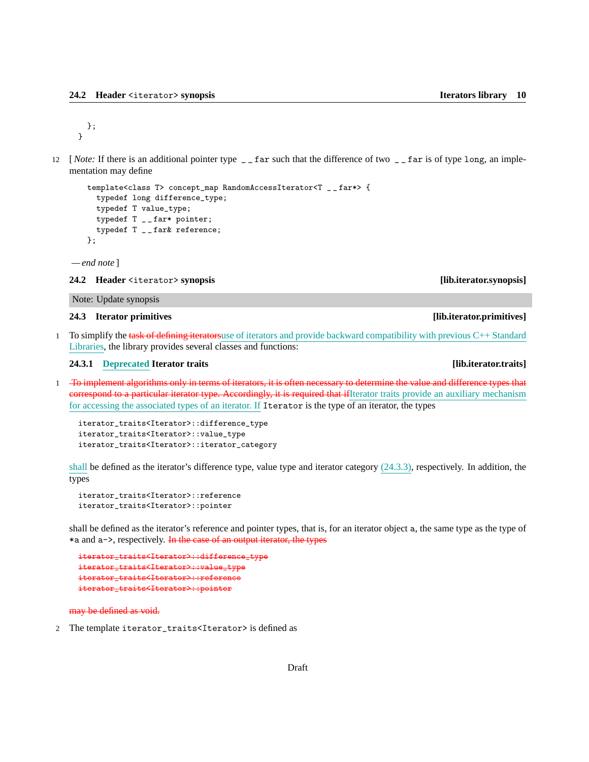```
};
}
```
12 *[Note:* If there is an additional pointer type  $\angle$  = far such that the difference of two  $\angle$  = far is of type long, an implementation may define

```
template<class T> concept_map RandomAccessIterator<T _ _ far*> {
  typedef long difference_type;
  typedef T value_type;
  typedef T_{ - -} far* pointer;
  typedef T __far& reference;
};
```
*— end note* ]

**24.2 Header** <iterator> **synopsis [lib.iterator.synopsis]**

Note: Update synopsis

<span id="page-9-0"></span>**24.3 Iterator primitives [lib.iterator.primitives]**

1 To simplify the task of defining iteratorsuse of iterators and provide backward compatibility with previous C++ Standard Libraries, the library provides several classes and functions:

# **24.3.1 Deprecated Iterator traits [lib.iterator.traits]**

1 To implement algorithms only in terms of iterators, it is often necessary to determine the value and difference types that correspond to a particular iterator type. Accordingly, it is required that ifIterator traits provide an auxiliary mechanism for accessing the associated types of an iterator. If Iterator is the type of an iterator, the types

```
iterator_traits<Iterator>::difference_type
iterator_traits<Iterator>::value_type
iterator_traits<Iterator>::iterator_category
```
shall be defined as the iterator's difference type, value type and iterator category (24.3.3), respectively. In addition, the types

```
iterator_traits<Iterator>::reference
iterator_traits<Iterator>::pointer
```
shall be defined as the iterator's reference and pointer types, that is, for an iterator object a, the same type as the type of \*a and a->, respectively. In the case of an output iterator, the types

```
iterator_traits<Iterator>::difference_type
iterator_traits<Iterator>::value_type
iterator_traits<Iterator>::reference
iterator_traits<Iterator>::pointer
```
may be defined as void.

2 The template iterator\_traits<Iterator> is defined as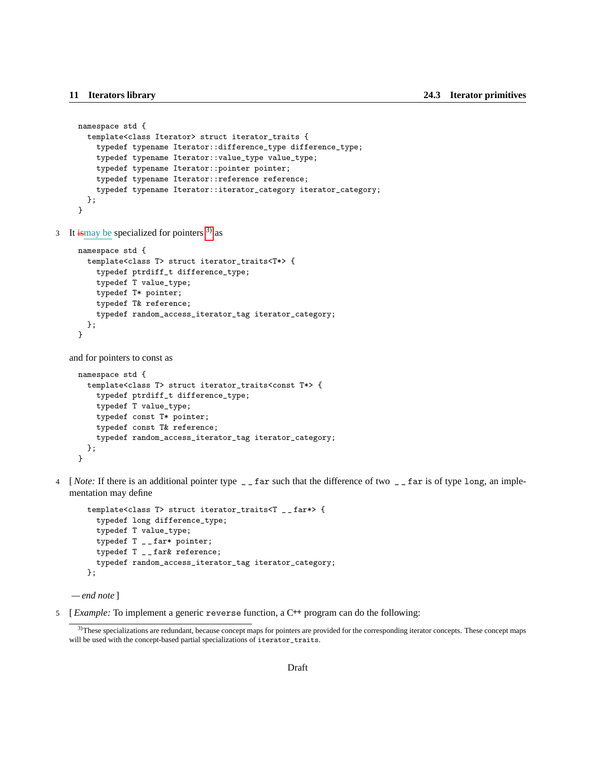```
namespace std {
  template<class Iterator> struct iterator_traits {
    typedef typename Iterator::difference_type difference_type;
    typedef typename Iterator::value_type value_type;
    typedef typename Iterator::pointer pointer;
    typedef typename Iterator::reference reference;
    typedef typename Iterator::iterator_category iterator_category;
 };
}
```
3 It is may be specialized for pointers  $3)$  as

```
namespace std {
  template<class T> struct iterator_traits<T*> {
    typedef ptrdiff_t difference_type;
    typedef T value_type;
    typedef T* pointer;
    typedef T& reference;
    typedef random_access_iterator_tag iterator_category;
 };
}
```
and for pointers to const as

```
namespace std {
 template<class T> struct iterator_traits<const T*> {
    typedef ptrdiff_t difference_type;
    typedef T value_type;
    typedef const T* pointer;
    typedef const T& reference;
    typedef random_access_iterator_tag iterator_category;
 };
}
```
4 [*Note:* If there is an additional pointer type  $\overline{\phantom{a}}$  = far such that the difference of two  $\overline{\phantom{a}}$  = far is of type long, an implementation may define

```
template<class T> struct iterator_traits<T _ _ far*> {
  typedef long difference_type;
  typedef T value_type;
  typedef T_{-} far* pointer;
  typedef T __far& reference;
  typedef random_access_iterator_tag iterator_category;
};
```

```
— end note ]
```
5 [ *Example:* To implement a generic reverse function, a C**++** program can do the following:

<span id="page-10-0"></span><sup>&</sup>lt;sup>3)</sup>These specializations are redundant, because concept maps for pointers are provided for the corresponding iterator concepts. These concept maps will be used with the concept-based partial specializations of iterator\_traits.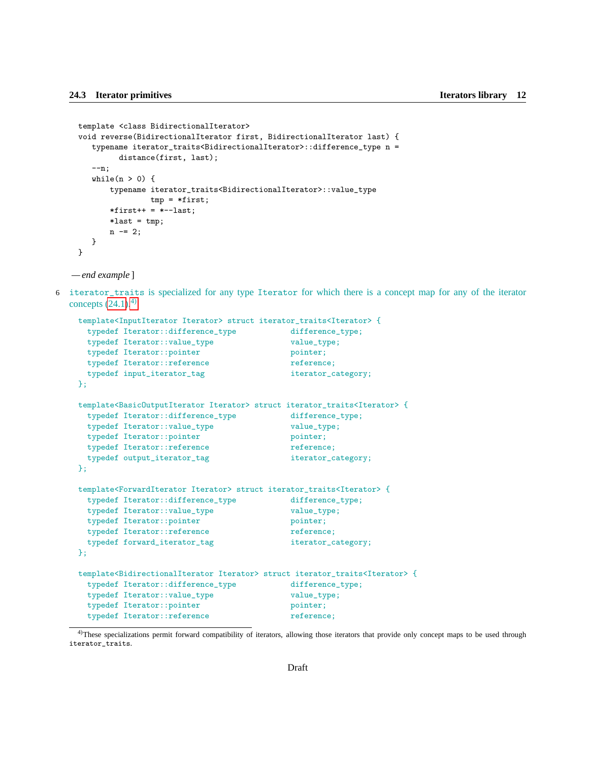### **24.3 Iterator primitives Contract and Security Contract and Security Contract and Security Contract and Security Contract and Security Contract and Security Contract and Security Contract and Security Contract and Securit**

```
template <class BidirectionalIterator>
void reverse(BidirectionalIterator first, BidirectionalIterator last) {
   typename iterator_traits<BidirectionalIterator>::difference_type n =
         distance(first, last);
   --n;
   while(n > 0) {
       typename iterator_traits<BidirectionalIterator>::value_type
               tmp = *first;
       *first++ = *--last;*last = tmp;n -= 2;
  }
}
```

```
— end example ]
```
6 iterator\_traits is specialized for any type Iterator for which there is a concept map for any of the iterator concepts  $(24.1).<sup>4</sup>$  $(24.1).<sup>4</sup>$ 

```
template<InputIterator Iterator> struct iterator_traits<Iterator> {
 typedef Iterator::difference_type difference_type;
 typedef Iterator::value_type value_type;
 typedef Iterator::pointer pointer;
 typedef Iterator::reference reference;
 typedef input_iterator_tag iterator_category;
\}:
template<BasicOutputIterator Iterator> struct iterator_traits<Iterator> {
 typedef Iterator::difference_type difference_type;
 typedef Iterator::value_type value_type;
 typedef Iterator::pointer
 typedef Iterator::reference reference;
 typedef output_iterator_tag iterator_category;
};
template<ForwardIterator Iterator> struct iterator_traits<Iterator> {
 typedef Iterator::difference_type difference_type;
 typedef Iterator::value_type value_type;
 typedef Iterator::pointer pointer;
 typedef Iterator::reference reference;
 typedef forward_iterator_tag iterator_category;
};
template<BidirectionalIterator Iterator> struct iterator_traits<Iterator> {
 typedef Iterator::difference_type difference_type;<br>typedef Iterator::value_type value_type;
 typedef Iterator::value_type
 typedef Iterator::pointer pointer;
 typedef Iterator::reference reference;
```
<span id="page-11-0"></span><sup>&</sup>lt;sup>4)</sup>These specializations permit forward compatibility of iterators, allowing those iterators that provide only concept maps to be used through iterator traits.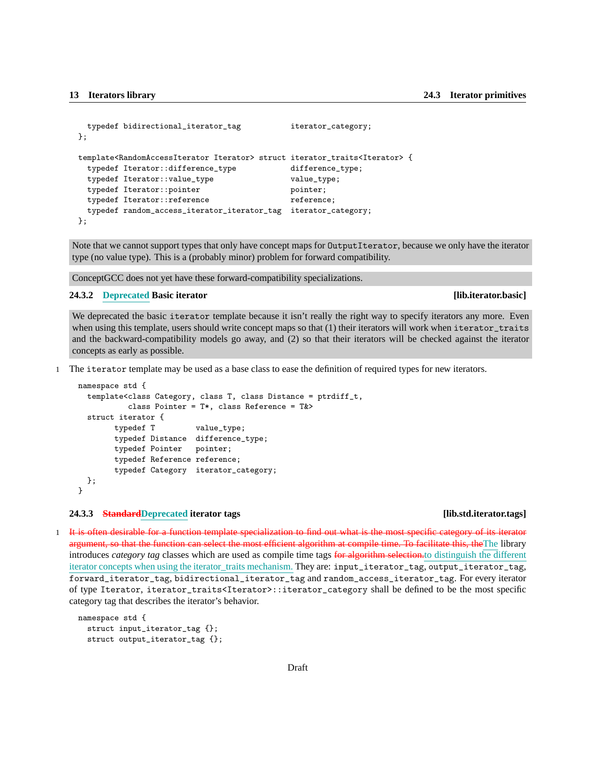```
typedef bidirectional_iterator_tag iterator_category;
};
template<RandomAccessIterator Iterator> struct iterator_traits<Iterator> {
 typedef Iterator::difference_type difference_type;
 typedef Iterator::value_type value_type;
 typedef Iterator::pointer pointer;
 typedef Iterator::reference reference;
 typedef random_access_iterator_iterator_tag iterator_category;
};
```
Note that we cannot support types that only have concept maps for OutputIterator, because we only have the iterator type (no value type). This is a (probably minor) problem for forward compatibility.

ConceptGCC does not yet have these forward-compatibility specializations.

# **24.3.2 Deprecated Basic iterator [lib.iterator.basic]**

We deprecated the basic iterator template because it isn't really the right way to specify iterators any more. Even when using this template, users should write concept maps so that (1) their iterators will work when iterator\_traits and the backward-compatibility models go away, and (2) so that their iterators will be checked against the iterator concepts as early as possible.

1 The iterator template may be used as a base class to ease the definition of required types for new iterators.

```
namespace std {
  template<class Category, class T, class Distance = ptrdiff_t,
          class Pointer = T*, class Reference = T&>
  struct iterator {
       typedef T value_type;
       typedef Distance difference_type;
       typedef Pointer pointer;
       typedef Reference reference;
       typedef Category iterator_category;
 };
}
```
## **24.3.3 StandardDeprecated iterator tags [lib.std.iterator.tags]**

1 It is often desirable for a function template specialization to find out what is the most specific category of its iterator argument, so that the function can select the most efficient algorithm at compile time. To facilitate this, theThe library introduces *category tag* classes which are used as compile time tags for algorithm selection.to distinguish the different iterator concepts when using the iterator\_traits mechanism. They are: input\_iterator\_tag, output\_iterator\_tag, forward\_iterator\_tag, bidirectional\_iterator\_tag and random\_access\_iterator\_tag. For every iterator of type Iterator, iterator\_traits<Iterator>::iterator\_category shall be defined to be the most specific category tag that describes the iterator's behavior.

```
namespace std {
  struct input_iterator_tag {};
  struct output_iterator_tag {};
```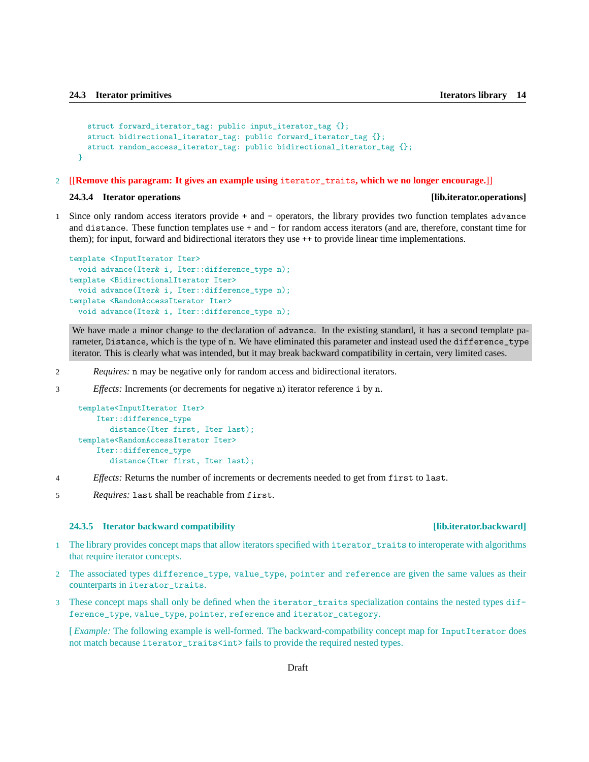```
struct forward_iterator_tag: public input_iterator_tag {};
struct bidirectional_iterator_tag: public forward_iterator_tag {};
struct random_access_iterator_tag: public bidirectional_iterator_tag {};
```
2 [[**Remove this paragram: It gives an example using** iterator\_traits**, which we no longer encourage.**]]

### **24.3.4 Iterator operations [lib.iterator.operations]**

 $\mathbf{I}$ 

1 Since only random access iterators provide + and - operators, the library provides two function templates advance and distance. These function templates use + and - for random access iterators (and are, therefore, constant time for them); for input, forward and bidirectional iterators they use ++ to provide linear time implementations.

```
template <InputIterator Iter>
  void advance(Iter& i, Iter::difference_type n);
template <BidirectionalIterator Iter>
  void advance(Iter& i, Iter::difference_type n);
template <RandomAccessIterator Iter>
 void advance(Iter& i, Iter::difference_type n);
```
We have made a minor change to the declaration of advance. In the existing standard, it has a second template parameter, Distance, which is the type of n. We have eliminated this parameter and instead used the difference\_type iterator. This is clearly what was intended, but it may break backward compatibility in certain, very limited cases.

- 2 *Requires:* n may be negative only for random access and bidirectional iterators.
- 3 *Effects:* Increments (or decrements for negative n) iterator reference i by n.

```
template<InputIterator Iter>
   Iter::difference_type
       distance(Iter first, Iter last);
template<RandomAccessIterator Iter>
   Iter::difference_type
       distance(Iter first, Iter last);
```
- 4 *Effects:* Returns the number of increments or decrements needed to get from first to last.
- 5 *Requires:* last shall be reachable from first.

### **24.3.5 Iterator backward compatibility [lib.iterator.backward]**

- 1 The library provides concept maps that allow iterators specified with iterator\_traits to interoperate with algorithms that require iterator concepts.
- 2 The associated types difference\_type, value\_type, pointer and reference are given the same values as their counterparts in iterator\_traits.
- 3 These concept maps shall only be defined when the iterator\_traits specialization contains the nested types difference\_type, value\_type, pointer, reference and iterator\_category.

[*Example:* The following example is well-formed. The backward-compatbility concept map for InputIterator does not match because iterator\_traits<int> fails to provide the required nested types.